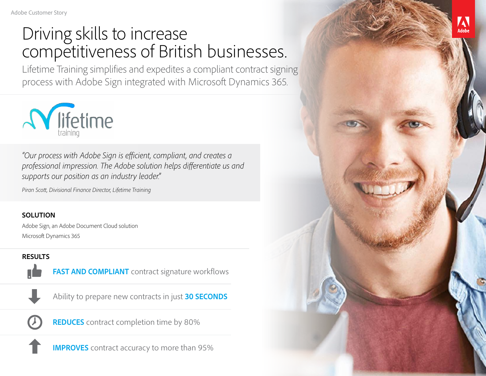# Driving skills to increase competitiveness of British businesses.

Lifetime Training simplifies and expedites a compliant contract signing process with Adobe Sign integrated with Microsoft Dynamics 365.



*"Our process with Adobe Sign is efficient, compliant, and creates a professional impression. The Adobe solution helps differentiate us and supports our position as an industry leader."*

*Piran Scott, Divisional Finance Director, Lifetime Training*

#### **SOLUTION**

Adobe Sign, an Adobe Document Cloud solution Microsoft Dynamics 365

### **RESULTS**



**FAST AND COMPLIANT** contract signature workflows



Ability to prepare new contracts in just **30 SECONDS**



**IMPROVES** contract accuracy to more than 95%

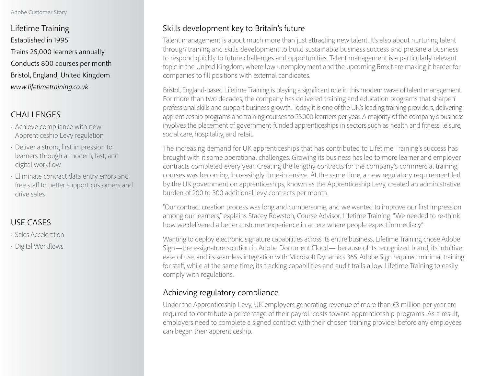#### Adobe Customer Story

Lifetime Training Established in 1995 Trains 25,000 learners annually Conducts 800 courses per month Bristol, England, United Kingdom *[www.lifetimetraining.co.uk](http://www.lifetimetraining.co.uk)*

# CHALLENGES

- Achieve compliance with new Apprenticeship Levy regulation
- Deliver a strong first impression to learners through a modern, fast, and digital workflow
- Eliminate contract data entry errors and free staff to better support customers and drive sales

# USE CASES

- Sales Acceleration
- Digital Workflows

# Skills development key to Britain's future

Talent management is about much more than just attracting new talent. It's also about nurturing talent through training and skills development to build sustainable business success and prepare a business to respond quickly to future challenges and opportunities. Talent management is a particularly relevant topic in the United Kingdom, where low unemployment and the upcoming Brexit are making it harder for companies to fill positions with external candidates.

Bristol, England-based Lifetime Training is playing a significant role in this modern wave of talent management. For more than two decades, the company has delivered training and education programs that sharpen professional skills and support business growth. Today, it is one of the UK's leading training providers, delivering apprenticeship programs and training courses to 25,000 learners per year. A majority of the company's business involves the placement of government-funded apprenticeships in sectors such as health and fitness, leisure, social care, hospitality, and retail.

The increasing demand for UK apprenticeships that has contributed to Lifetime Training's success has brought with it some operational challenges. Growing its business has led to more learner and employer contracts completed every year. Creating the lengthy contracts for the company's commercial training courses was becoming increasingly time-intensive. At the same time, a new regulatory requirement led by the UK government on apprenticeships, known as the Apprenticeship Levy, created an administrative burden of 200 to 300 additional levy contracts per month.

"Our contract creation process was long and cumbersome, and we wanted to improve our first impression among our learners," explains Stacey Rowston, Course Advisor, Lifetime Training. "We needed to re-think how we delivered a better customer experience in an era where people expect immediacy."

Wanting to deploy electronic signature capabilities across its entire business, Lifetime Training chose Adobe Sign—the e-signature solution in Adobe Document Cloud— because of its recognized brand, its intuitive ease of use, and its seamless integration with Microsoft Dynamics 365. Adobe Sign required minimal training for staff, while at the same time, its tracking capabilities and audit trails allow Lifetime Training to easily comply with regulations.

# Achieving regulatory compliance

Under the Apprenticeship Levy, UK employers generating revenue of more than £3 million per year are required to contribute a percentage of their payroll costs toward apprenticeship programs. As a result, employers need to complete a signed contract with their chosen training provider before any employees can began their apprenticeship.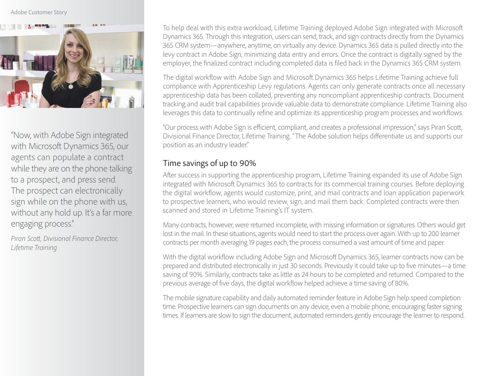#### Adobe Customer Story



"Now, with Adobe Sign integrated with Microsoft Dynamics 365, our agents can populate a contract while they are on the phone talking to a prospect, and press send. The prospect can electronically sign while on the phone with us, without any hold up. It's a far more engaging process."

*Piran Scott, Divisional Finance Director, Lifetime Training*

To help deal with this extra workload, Lifetime Training deployed Adobe Sign integrated with Microsoft Dynamics 365. Through this integration, users can send, track, and sign contracts directly from the Dynamics 365 CRM system—anywhere, anytime, on virtually any device. Dynamics 365 data is pulled directly into the levy contract in Adobe Sign, minimizing data entry and errors. Once the contract is digitally signed by the employer, the finalized contract including completed data is filed back in the Dynamics 365 CRM system.

The digital workflow with Adobe Sign and Microsoft Dynamics 365 helps Lifetime Training achieve full compliance with Apprenticeship Levy regulations. Agents can only generate contracts once all necessary apprenticeship data has been collated, preventing any noncompliant apprenticeship contracts. Document tracking and audit trail capabilities provide valuable data to demonstrate compliance. Lifetime Training also leverages this data to continually refine and optimize its apprenticeship program processes and workflows.

"Our process with Adobe Sign is efficient, compliant, and creates a professional impression," says Piran Scott, Divisional Finance Director, Lifetime Training. "The Adobe solution helps differentiate us and supports our position as an industry leader."

## Time savings of up to 90%

After success in supporting the apprenticeship program, Lifetime Training expanded its use of Adobe Sign integrated with Microsoft Dynamics 365 to contracts for its commercial training courses. Before deploying the digital workflow, agents would customize, print, and mail contracts and loan application paperwork to prospective learners, who would review, sign, and mail them back. Completed contracts were then scanned and stored in Lifetime Training's IT system.

Many contracts, however, were returned incomplete, with missing information or signatures. Others would get lost in the mail. In these situations, agents would need to start the process over again. With up to 200 learner contracts per month averaging 19 pages each, the process consumed a vast amount of time and paper.

With the digital workflow including Adobe Sign and Microsoft Dynamics 365, learner contracts now can be prepared and distributed electronically in just 30 seconds. Previously it could take up to five minutes—a time saving of 90%. Similarly, contracts take as little as 24 hours to be completed and returned. Compared to the previous average of five days, the digital workflow helped achieve a time saving of 80%.

The mobile signature capability and daily automated reminder feature in Adobe Sign help speed completion time. Prospective learners can sign documents on any device, even a mobile phone, encouraging faster signing times. If learners are slow to sign the document, automated reminders gently encourage the learner to respond.